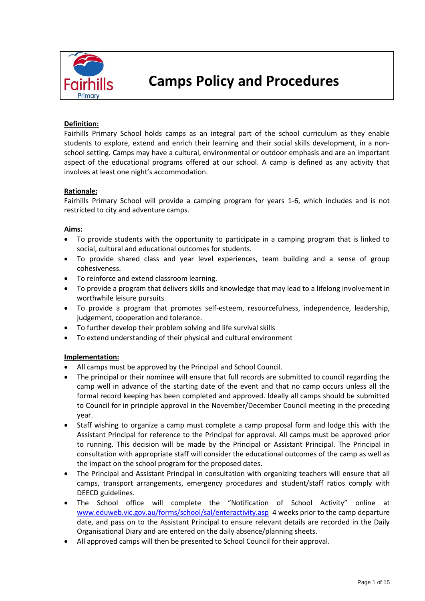

# **Camps Policy and Procedures**

#### **Definition:**

Fairhills Primary School holds camps as an integral part of the school curriculum as they enable students to explore, extend and enrich their learning and their social skills development, in a nonschool setting. Camps may have a cultural, environmental or outdoor emphasis and are an important aspect of the educational programs offered at our school. A camp is defined as any activity that involves at least one night's accommodation.

#### **Rationale:**

Fairhills Primary School will provide a camping program for years 1-6, which includes and is not restricted to city and adventure camps.

#### **Aims:**

- To provide students with the opportunity to participate in a camping program that is linked to social, cultural and educational outcomes for students.
- To provide shared class and year level experiences, team building and a sense of group cohesiveness.
- To reinforce and extend classroom learning.
- To provide a program that delivers skills and knowledge that may lead to a lifelong involvement in worthwhile leisure pursuits.
- To provide a program that promotes self-esteem, resourcefulness, independence, leadership, judgement, cooperation and tolerance.
- To further develop their problem solving and life survival skills
- To extend understanding of their physical and cultural environment

#### **Implementation:**

- All camps must be approved by the Principal and School Council.
- The principal or their nominee will ensure that full records are submitted to council regarding the camp well in advance of the starting date of the event and that no camp occurs unless all the formal record keeping has been completed and approved. Ideally all camps should be submitted to Council for in principle approval in the November/December Council meeting in the preceding year.
- Staff wishing to organize a camp must complete a camp proposal form and lodge this with the Assistant Principal for reference to the Principal for approval. All camps must be approved prior to running. This decision will be made by the Principal or Assistant Principal. The Principal in consultation with appropriate staff will consider the educational outcomes of the camp as well as the impact on the school program for the proposed dates.
- The Principal and Assistant Principal in consultation with organizing teachers will ensure that all camps, transport arrangements, emergency procedures and student/staff ratios comply with DEECD guidelines.
- The School office will complete the "Notification of School Activity" online at [www.eduweb.vic.gov.au/forms/school/sal/enteractivity.asp](http://www.eduweb.vic.gov.au/forms/school/sal/enteractivity.asp) 4 weeks prior to the camp departure date, and pass on to the Assistant Principal to ensure relevant details are recorded in the Daily Organisational Diary and are entered on the daily absence/planning sheets.
- All approved camps will then be presented to School Council for their approval.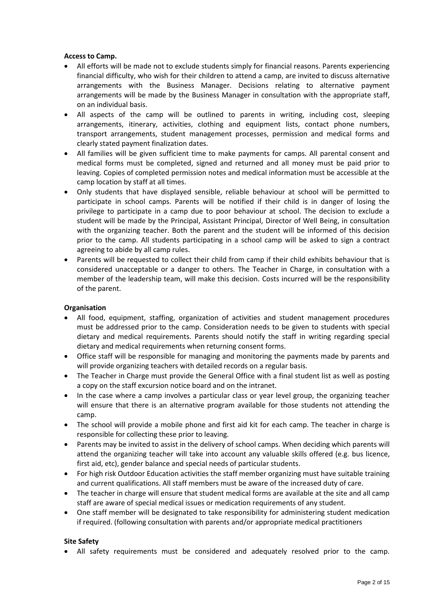#### **Access to Camp.**

- All efforts will be made not to exclude students simply for financial reasons. Parents experiencing financial difficulty, who wish for their children to attend a camp, are invited to discuss alternative arrangements with the Business Manager. Decisions relating to alternative payment arrangements will be made by the Business Manager in consultation with the appropriate staff, on an individual basis.
- All aspects of the camp will be outlined to parents in writing, including cost, sleeping arrangements, itinerary, activities, clothing and equipment lists, contact phone numbers, transport arrangements, student management processes, permission and medical forms and clearly stated payment finalization dates.
- All families will be given sufficient time to make payments for camps. All parental consent and medical forms must be completed, signed and returned and all money must be paid prior to leaving. Copies of completed permission notes and medical information must be accessible at the camp location by staff at all times.
- Only students that have displayed sensible, reliable behaviour at school will be permitted to participate in school camps. Parents will be notified if their child is in danger of losing the privilege to participate in a camp due to poor behaviour at school. The decision to exclude a student will be made by the Principal, Assistant Principal, Director of Well Being, in consultation with the organizing teacher. Both the parent and the student will be informed of this decision prior to the camp. All students participating in a school camp will be asked to sign a contract agreeing to abide by all camp rules.
- Parents will be requested to collect their child from camp if their child exhibits behaviour that is considered unacceptable or a danger to others. The Teacher in Charge, in consultation with a member of the leadership team, will make this decision. Costs incurred will be the responsibility of the parent.

#### **Organisation**

- All food, equipment, staffing, organization of activities and student management procedures must be addressed prior to the camp. Consideration needs to be given to students with special dietary and medical requirements. Parents should notify the staff in writing regarding special dietary and medical requirements when returning consent forms.
- Office staff will be responsible for managing and monitoring the payments made by parents and will provide organizing teachers with detailed records on a regular basis.
- The Teacher in Charge must provide the General Office with a final student list as well as posting a copy on the staff excursion notice board and on the intranet.
- In the case where a camp involves a particular class or year level group, the organizing teacher will ensure that there is an alternative program available for those students not attending the camp.
- The school will provide a mobile phone and first aid kit for each camp. The teacher in charge is responsible for collecting these prior to leaving.
- Parents may be invited to assist in the delivery of school camps. When deciding which parents will attend the organizing teacher will take into account any valuable skills offered (e.g. bus licence, first aid, etc), gender balance and special needs of particular students.
- For high risk Outdoor Education activities the staff member organizing must have suitable training and current qualifications. All staff members must be aware of the increased duty of care.
- The teacher in charge will ensure that student medical forms are available at the site and all camp staff are aware of special medical issues or medication requirements of any student.
- One staff member will be designated to take responsibility for administering student medication if required. (following consultation with parents and/or appropriate medical practitioners

#### **Site Safety**

• All safety requirements must be considered and adequately resolved prior to the camp.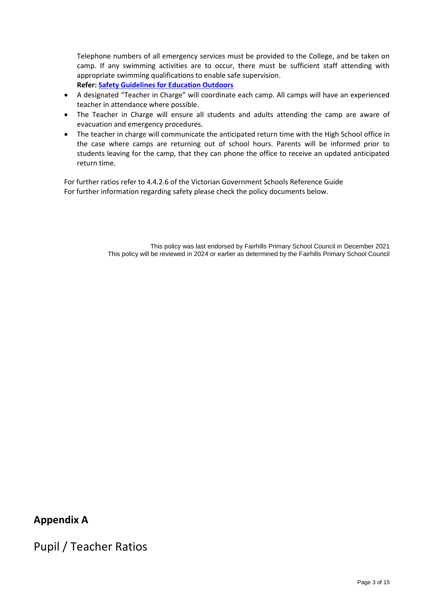Telephone numbers of all emergency services must be provided to the College, and be taken on camp. If any swimming activities are to occur, there must be sufficient staff attending with appropriate swimming qualifications to enable safe supervision. **Refer: [Safety Guidelines for Education Outdoors](http://www.education.vic.gov.au/school/principals/safety/pages/outdoor.aspx#mainContent)**

- A designated "Teacher in Charge" will coordinate each camp. All camps will have an experienced teacher in attendance where possible.
- The Teacher in Charge will ensure all students and adults attending the camp are aware of evacuation and emergency procedures.
- The teacher in charge will communicate the anticipated return time with the High School office in the case where camps are returning out of school hours. Parents will be informed prior to students leaving for the camp, that they can phone the office to receive an updated anticipated return time.

For further ratios refer to 4.4.2.6 of the Victorian Government Schools Reference Guide For further information regarding safety please check the policy documents below.

> This policy was last endorsed by Fairhills Primary School Council in December 2021 This policy will be reviewed in 2024 or earlier as determined by the Fairhills Primary School Council

## **Appendix A**

Pupil / Teacher Ratios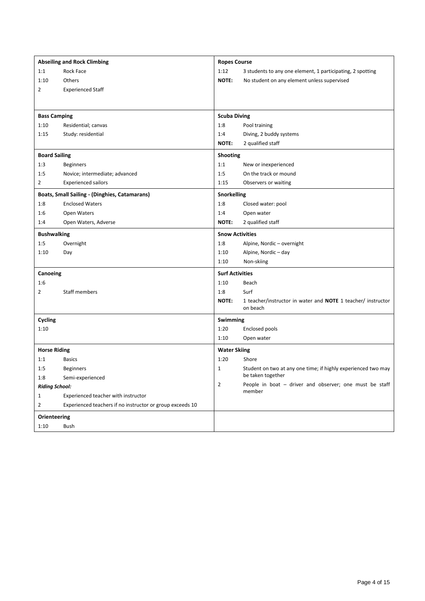| <b>Abseiling and Rock Climbing</b> |                                                           |                        | <b>Ropes Course</b>                                                             |  |  |  |
|------------------------------------|-----------------------------------------------------------|------------------------|---------------------------------------------------------------------------------|--|--|--|
| 1:1                                | Rock Face                                                 | 1:12                   | 3 students to any one element, 1 participating, 2 spotting                      |  |  |  |
| 1:10                               | Others                                                    | NOTE:                  | No student on any element unless supervised                                     |  |  |  |
| $\overline{2}$                     | <b>Experienced Staff</b>                                  |                        |                                                                                 |  |  |  |
|                                    |                                                           |                        |                                                                                 |  |  |  |
| <b>Bass Camping</b>                |                                                           | <b>Scuba Diving</b>    |                                                                                 |  |  |  |
| 1:10                               | Residential; canvas                                       | 1:8                    | Pool training                                                                   |  |  |  |
| 1:15                               | Study: residential                                        | 1:4                    | Diving, 2 buddy systems                                                         |  |  |  |
|                                    |                                                           | NOTE:                  | 2 qualified staff                                                               |  |  |  |
| <b>Board Sailing</b>               |                                                           | Shooting               |                                                                                 |  |  |  |
| 1:3                                | <b>Beginners</b>                                          | 1:1                    | New or inexperienced                                                            |  |  |  |
| 1:5                                | Novice; intermediate; advanced                            | 1:5                    | On the track or mound                                                           |  |  |  |
| $\overline{2}$                     | <b>Experienced sailors</b>                                | 1:15                   | Observers or waiting                                                            |  |  |  |
|                                    | Boats, Small Sailing - (Dinghies, Catamarans)             | Snorkelling            |                                                                                 |  |  |  |
| 1:8                                | <b>Enclosed Waters</b>                                    | 1:8                    | Closed water: pool                                                              |  |  |  |
| 1:6                                | Open Waters                                               | 1:4                    | Open water                                                                      |  |  |  |
| 1:4                                | Open Waters, Adverse                                      | NOTE:                  | 2 qualified staff                                                               |  |  |  |
| <b>Bushwalking</b>                 |                                                           | <b>Snow Activities</b> |                                                                                 |  |  |  |
| 1:5                                | Overnight                                                 | 1:8                    | Alpine, Nordic - overnight                                                      |  |  |  |
| 1:10                               | Day                                                       | 1:10                   | Alpine, Nordic-day                                                              |  |  |  |
|                                    |                                                           | 1:10                   | Non-skiing                                                                      |  |  |  |
| Canoeing                           |                                                           | <b>Surf Activities</b> |                                                                                 |  |  |  |
| 1:6                                |                                                           | 1:10                   | Beach                                                                           |  |  |  |
| 2                                  | Staff members                                             | 1:8                    | Surf                                                                            |  |  |  |
|                                    |                                                           | NOTE:                  | 1 teacher/instructor in water and <b>NOTE</b> 1 teacher/ instructor<br>on beach |  |  |  |
| Cycling                            |                                                           | Swimming               |                                                                                 |  |  |  |
| 1:10                               |                                                           | 1:20                   | <b>Enclosed pools</b>                                                           |  |  |  |
|                                    |                                                           | 1:10                   | Open water                                                                      |  |  |  |
| <b>Horse Riding</b>                |                                                           | <b>Water Skiing</b>    |                                                                                 |  |  |  |
| 1:1                                | <b>Basics</b>                                             | 1:20                   | Shore                                                                           |  |  |  |
| 1:5                                | <b>Beginners</b>                                          | 1                      | Student on two at any one time; if highly experienced two may                   |  |  |  |
| 1:8                                | Semi-experienced                                          |                        | be taken together                                                               |  |  |  |
| <b>Riding School:</b>              |                                                           | $\overline{2}$         | People in boat - driver and observer; one must be staff                         |  |  |  |
| 1                                  | Experienced teacher with instructor                       |                        | member                                                                          |  |  |  |
| $\overline{2}$                     | Experienced teachers if no instructor or group exceeds 10 |                        |                                                                                 |  |  |  |
| Orienteering                       |                                                           |                        |                                                                                 |  |  |  |
| 1:10                               | Bush                                                      |                        |                                                                                 |  |  |  |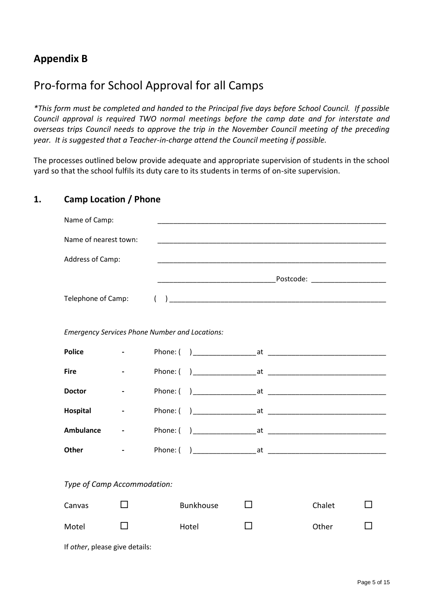## **Appendix B**

## Pro-forma for School Approval for all Camps

*\*This form must be completed and handed to the Principal five days before School Council. If possible Council approval is required TWO normal meetings before the camp date and for interstate and overseas trips Council needs to approve the trip in the November Council meeting of the preceding year. It is suggested that a Teacher-in-charge attend the Council meeting if possible.*

The processes outlined below provide adequate and appropriate supervision of students in the school yard so that the school fulfils its duty care to its students in terms of on-site supervision.

### **1. Camp Location / Phone**

| Name of Camp:                                         |                                                |  |                                       |              |  |        |  |  |
|-------------------------------------------------------|------------------------------------------------|--|---------------------------------------|--------------|--|--------|--|--|
| Name of nearest town:                                 |                                                |  |                                       |              |  |        |  |  |
| Address of Camp:                                      |                                                |  |                                       |              |  |        |  |  |
|                                                       |                                                |  |                                       |              |  |        |  |  |
| Telephone of Camp:                                    |                                                |  | $\begin{pmatrix} 1 & 1 \end{pmatrix}$ |              |  |        |  |  |
|                                                       |                                                |  |                                       |              |  |        |  |  |
| <b>Emergency Services Phone Number and Locations:</b> |                                                |  |                                       |              |  |        |  |  |
| <b>Police</b>                                         | $\mathbf{z}$ and $\mathbf{z}$ and $\mathbf{z}$ |  |                                       |              |  |        |  |  |
| <b>Fire</b>                                           |                                                |  |                                       |              |  |        |  |  |
| <b>Doctor</b>                                         |                                                |  |                                       |              |  |        |  |  |
| Hospital                                              |                                                |  |                                       |              |  |        |  |  |
| <b>Ambulance</b>                                      | $\blacksquare$                                 |  |                                       |              |  |        |  |  |
| <b>Other</b>                                          |                                                |  |                                       |              |  |        |  |  |
|                                                       |                                                |  |                                       |              |  |        |  |  |
| Type of Camp Accommodation:                           |                                                |  |                                       |              |  |        |  |  |
| Canvas                                                |                                                |  | <b>Bunkhouse</b>                      | $\mathsf{L}$ |  | Chalet |  |  |
| Motel                                                 |                                                |  | Hotel                                 | - 1          |  | Other  |  |  |

If *other*, please give details: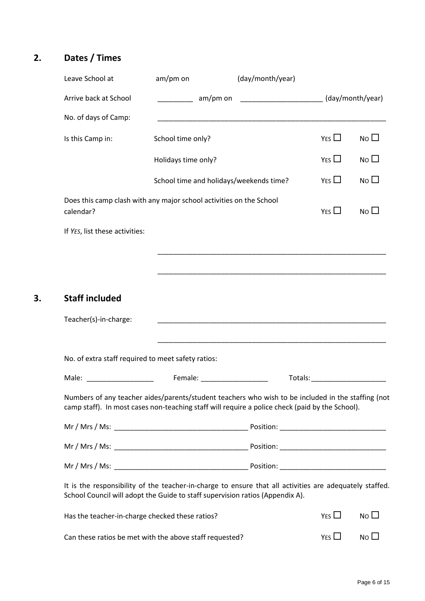## **2. Dates / Times**

**3. Staff included**

| Leave School at                | am/pm on                                                                                                                                                                                                                       | (day/month/year)                               |                                                                                                                                                                                                                                |                 |
|--------------------------------|--------------------------------------------------------------------------------------------------------------------------------------------------------------------------------------------------------------------------------|------------------------------------------------|--------------------------------------------------------------------------------------------------------------------------------------------------------------------------------------------------------------------------------|-----------------|
| Arrive back at School          | am/pm on                                                                                                                                                                                                                       | _____________________________ (day/month/year) |                                                                                                                                                                                                                                |                 |
| No. of days of Camp:           |                                                                                                                                                                                                                                |                                                |                                                                                                                                                                                                                                |                 |
| Is this Camp in:               | School time only?                                                                                                                                                                                                              |                                                | YES $\Box$                                                                                                                                                                                                                     | No $\square$    |
|                                | Holidays time only?                                                                                                                                                                                                            |                                                | YES                                                                                                                                                                                                                            | $N$ o $\Box$    |
|                                | School time and holidays/weekends time?                                                                                                                                                                                        |                                                | YES $\Box$                                                                                                                                                                                                                     | $No$ $\Box$     |
| calendar?                      | Does this camp clash with any major school activities on the School                                                                                                                                                            |                                                | YES $\Box$                                                                                                                                                                                                                     | No <sub>1</sub> |
| If YES, list these activities: |                                                                                                                                                                                                                                |                                                |                                                                                                                                                                                                                                |                 |
|                                |                                                                                                                                                                                                                                |                                                |                                                                                                                                                                                                                                |                 |
|                                |                                                                                                                                                                                                                                |                                                |                                                                                                                                                                                                                                |                 |
| <b>Staff included</b>          |                                                                                                                                                                                                                                |                                                |                                                                                                                                                                                                                                |                 |
| Teacher(s)-in-charge:          |                                                                                                                                                                                                                                |                                                |                                                                                                                                                                                                                                |                 |
|                                | No. of extra staff required to meet safety ratios:                                                                                                                                                                             |                                                |                                                                                                                                                                                                                                |                 |
| Male:                          | Female: The contract of the contract of the contract of the contract of the contract of the contract of the contract of the contract of the contract of the contract of the contract of the contract of the contract of the co |                                                | Totals: Total Production of the Contract of Total Production of the Contract of Total Production of Total Production of Total Production of Total Production of Total Production of Total Production of Total Production of To |                 |
|                                | Numbers of any teacher aides/parents/student teachers who wish to be included in the staffing (not<br>camp staff). In most cases non-teaching staff will require a police check (paid by the School).                          |                                                |                                                                                                                                                                                                                                |                 |
|                                |                                                                                                                                                                                                                                |                                                |                                                                                                                                                                                                                                |                 |
|                                |                                                                                                                                                                                                                                |                                                |                                                                                                                                                                                                                                |                 |
|                                |                                                                                                                                                                                                                                |                                                |                                                                                                                                                                                                                                |                 |
|                                | It is the responsibility of the teacher-in-charge to ensure that all activities are adequately staffed.<br>School Council will adopt the Guide to staff supervision ratios (Appendix A).                                       |                                                |                                                                                                                                                                                                                                |                 |
|                                | Has the teacher-in-charge checked these ratios?                                                                                                                                                                                |                                                | YES $\Box$                                                                                                                                                                                                                     | $No$ $\Box$     |
|                                | Can these ratios be met with the above staff requested?                                                                                                                                                                        |                                                | YES $\Box$                                                                                                                                                                                                                     | No <sub>1</sub> |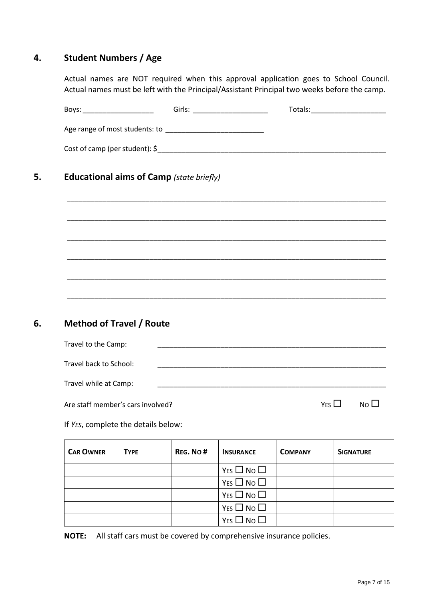## **4. Student Numbers / Age**

Actual names are NOT required when this approval application goes to School Council. Actual names must be left with the Principal/Assistant Principal two weeks before the camp.

|                                                 |             | <b>Educational aims of Camp (state briefly)</b> |                                                                                  |                |                        |
|-------------------------------------------------|-------------|-------------------------------------------------|----------------------------------------------------------------------------------|----------------|------------------------|
|                                                 |             |                                                 |                                                                                  |                |                        |
|                                                 |             |                                                 |                                                                                  |                |                        |
|                                                 |             |                                                 |                                                                                  |                |                        |
|                                                 |             |                                                 | ,我们也不能在这里的时候,我们也不能在这里的时候,我们也不能在这里的时候,我们也不能会不能在这里的时候,我们也不能会不能会不能会不能会不能会不能会不能会不能会不 |                |                        |
|                                                 |             |                                                 |                                                                                  |                |                        |
|                                                 |             |                                                 |                                                                                  |                |                        |
|                                                 |             |                                                 |                                                                                  |                |                        |
| <b>Method of Travel / Route</b>                 |             |                                                 |                                                                                  |                |                        |
| Travel to the Camp:                             |             |                                                 |                                                                                  |                |                        |
|                                                 |             |                                                 |                                                                                  |                |                        |
| Travel back to School:<br>Travel while at Camp: |             |                                                 |                                                                                  |                |                        |
| Are staff member's cars involved?               |             |                                                 |                                                                                  |                | YES<br>NO <sub>1</sub> |
|                                                 |             |                                                 |                                                                                  |                |                        |
|                                                 |             |                                                 |                                                                                  |                |                        |
| <b>CAR OWNER</b>                                | <b>TYPE</b> | REG. No#                                        | <b>INSURANCE</b>                                                                 | <b>COMPANY</b> |                        |
|                                                 |             |                                                 | YES $\square$ No $\square$                                                       |                |                        |
|                                                 |             |                                                 | $YES \Box NO \Box$                                                               |                |                        |
| If YES, complete the details below:             |             |                                                 | YES $\Box$ No $\Box$<br>$YES \Box NO \Box$                                       |                | <b>SIGNATURE</b>       |

**NOTE:** All staff cars must be covered by comprehensive insurance policies.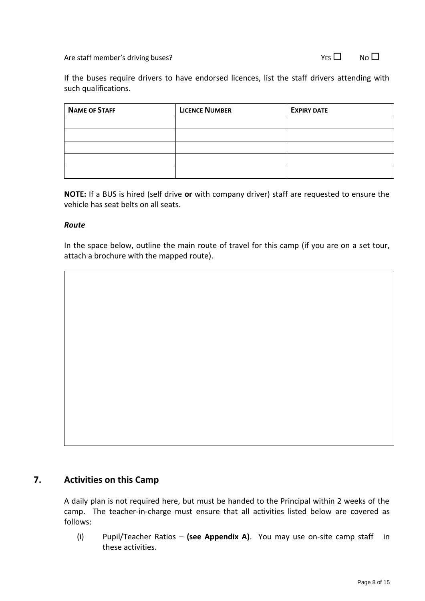Are staff member's driving buses?  $VES \Box$  No  $\Box$ 

If the buses require drivers to have endorsed licences, list the staff drivers attending with such qualifications.

| <b>NAME OF STAFF</b> | <b>LICENCE NUMBER</b> | <b>EXPIRY DATE</b> |
|----------------------|-----------------------|--------------------|
|                      |                       |                    |
|                      |                       |                    |
|                      |                       |                    |
|                      |                       |                    |
|                      |                       |                    |

**NOTE:** If a BUS is hired (self drive **or** with company driver) staff are requested to ensure the vehicle has seat belts on all seats.

### *Route*

In the space below, outline the main route of travel for this camp (if you are on a set tour, attach a brochure with the mapped route).

### **7. Activities on this Camp**

A daily plan is not required here, but must be handed to the Principal within 2 weeks of the camp. The teacher-in-charge must ensure that all activities listed below are covered as follows:

(i) Pupil/Teacher Ratios – **(see Appendix A)**. You may use on-site camp staff in these activities.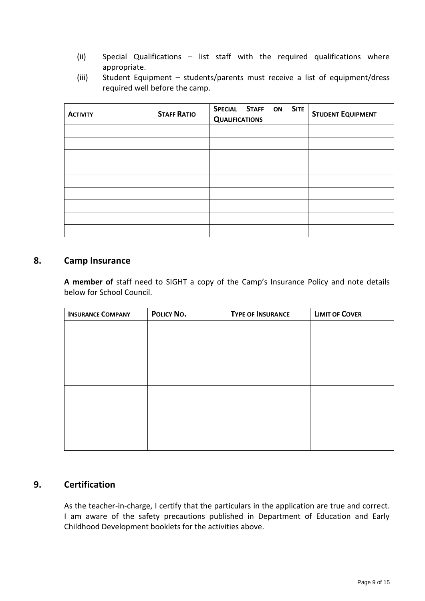- (ii) Special Qualifications list staff with the required qualifications where appropriate.
- (iii) Student Equipment students/parents must receive a list of equipment/dress required well before the camp.

| <b>ACTIVITY</b> | <b>STAFF RATIO</b> | SPECIAL STAFF<br>ON SITE<br><b>QUALIFICATIONS</b> | <b>STUDENT EQUIPMENT</b> |
|-----------------|--------------------|---------------------------------------------------|--------------------------|
|                 |                    |                                                   |                          |
|                 |                    |                                                   |                          |
|                 |                    |                                                   |                          |
|                 |                    |                                                   |                          |
|                 |                    |                                                   |                          |
|                 |                    |                                                   |                          |
|                 |                    |                                                   |                          |
|                 |                    |                                                   |                          |
|                 |                    |                                                   |                          |

### **8. Camp Insurance**

**A member of** staff need to SIGHT a copy of the Camp's Insurance Policy and note details below for School Council.

| <b>INSURANCE COMPANY</b> | POLICY NO. | <b>TYPE OF INSURANCE</b> | <b>LIMIT OF COVER</b> |
|--------------------------|------------|--------------------------|-----------------------|
|                          |            |                          |                       |
|                          |            |                          |                       |
|                          |            |                          |                       |
|                          |            |                          |                       |
|                          |            |                          |                       |
|                          |            |                          |                       |
|                          |            |                          |                       |
|                          |            |                          |                       |
|                          |            |                          |                       |
|                          |            |                          |                       |

### **9. Certification**

As the teacher-in-charge, I certify that the particulars in the application are true and correct. I am aware of the safety precautions published in Department of Education and Early Childhood Development booklets for the activities above.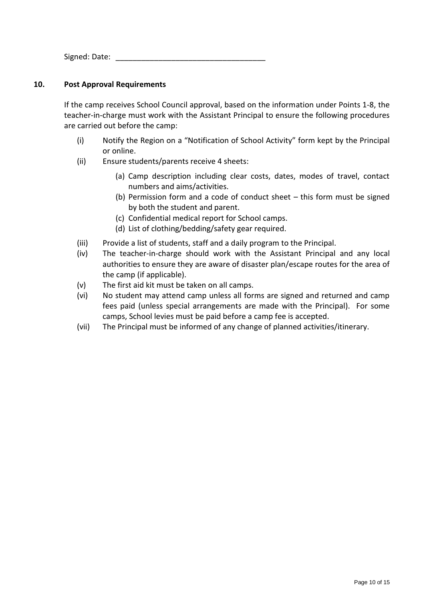Signed: Date: \_\_\_\_\_\_\_\_\_\_\_\_\_\_\_\_\_\_\_\_\_\_\_\_\_\_\_\_\_\_\_\_\_\_\_

### **10. Post Approval Requirements**

If the camp receives School Council approval, based on the information under Points 1-8, the teacher-in-charge must work with the Assistant Principal to ensure the following procedures are carried out before the camp:

- (i) Notify the Region on a "Notification of School Activity" form kept by the Principal or online.
- (ii) Ensure students/parents receive 4 sheets:
	- (a) Camp description including clear costs, dates, modes of travel, contact numbers and aims/activities.
	- (b) Permission form and a code of conduct sheet this form must be signed by both the student and parent.
	- (c) Confidential medical report for School camps.
	- (d) List of clothing/bedding/safety gear required.
- (iii) Provide a list of students, staff and a daily program to the Principal.
- (iv) The teacher-in-charge should work with the Assistant Principal and any local authorities to ensure they are aware of disaster plan/escape routes for the area of the camp (if applicable).
- (v) The first aid kit must be taken on all camps.
- (vi) No student may attend camp unless all forms are signed and returned and camp fees paid (unless special arrangements are made with the Principal). For some camps, School levies must be paid before a camp fee is accepted.
- (vii) The Principal must be informed of any change of planned activities/itinerary.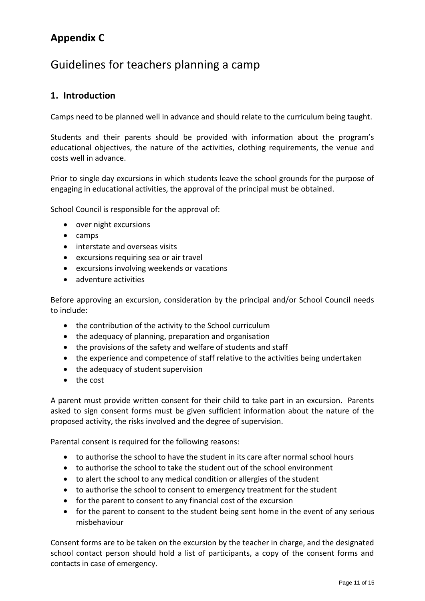## **Appendix C**

## Guidelines for teachers planning a camp

### **1. Introduction**

Camps need to be planned well in advance and should relate to the curriculum being taught.

Students and their parents should be provided with information about the program's educational objectives, the nature of the activities, clothing requirements, the venue and costs well in advance.

Prior to single day excursions in which students leave the school grounds for the purpose of engaging in educational activities, the approval of the principal must be obtained.

School Council is responsible for the approval of:

- over night excursions
- camps
- interstate and overseas visits
- excursions requiring sea or air travel
- excursions involving weekends or vacations
- adventure activities

Before approving an excursion, consideration by the principal and/or School Council needs to include:

- the contribution of the activity to the School curriculum
- the adequacy of planning, preparation and organisation
- the provisions of the safety and welfare of students and staff
- the experience and competence of staff relative to the activities being undertaken
- the adequacy of student supervision
- the cost

A parent must provide written consent for their child to take part in an excursion. Parents asked to sign consent forms must be given sufficient information about the nature of the proposed activity, the risks involved and the degree of supervision.

Parental consent is required for the following reasons:

- to authorise the school to have the student in its care after normal school hours
- to authorise the school to take the student out of the school environment
- to alert the school to any medical condition or allergies of the student
- to authorise the school to consent to emergency treatment for the student
- for the parent to consent to any financial cost of the excursion
- for the parent to consent to the student being sent home in the event of any serious misbehaviour

Consent forms are to be taken on the excursion by the teacher in charge, and the designated school contact person should hold a list of participants, a copy of the consent forms and contacts in case of emergency.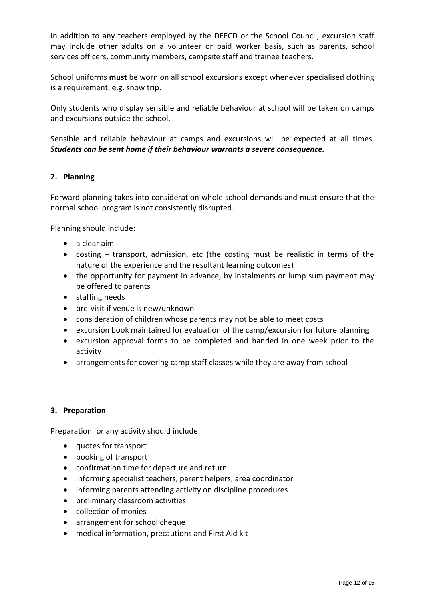In addition to any teachers employed by the DEECD or the School Council, excursion staff may include other adults on a volunteer or paid worker basis, such as parents, school services officers, community members, campsite staff and trainee teachers.

School uniforms **must** be worn on all school excursions except whenever specialised clothing is a requirement, e.g. snow trip.

Only students who display sensible and reliable behaviour at school will be taken on camps and excursions outside the school.

Sensible and reliable behaviour at camps and excursions will be expected at all times. *Students can be sent home if their behaviour warrants a severe consequence.*

### **2. Planning**

Forward planning takes into consideration whole school demands and must ensure that the normal school program is not consistently disrupted.

Planning should include:

- a clear aim
- costing transport, admission, etc (the costing must be realistic in terms of the nature of the experience and the resultant learning outcomes)
- the opportunity for payment in advance, by instalments or lump sum payment may be offered to parents
- staffing needs
- pre-visit if venue is new/unknown
- consideration of children whose parents may not be able to meet costs
- excursion book maintained for evaluation of the camp/excursion for future planning
- excursion approval forms to be completed and handed in one week prior to the activity
- arrangements for covering camp staff classes while they are away from school

### **3. Preparation**

Preparation for any activity should include:

- quotes for transport
- booking of transport
- confirmation time for departure and return
- informing specialist teachers, parent helpers, area coordinator
- informing parents attending activity on discipline procedures
- preliminary classroom activities
- collection of monies
- arrangement for school cheque
- medical information, precautions and First Aid kit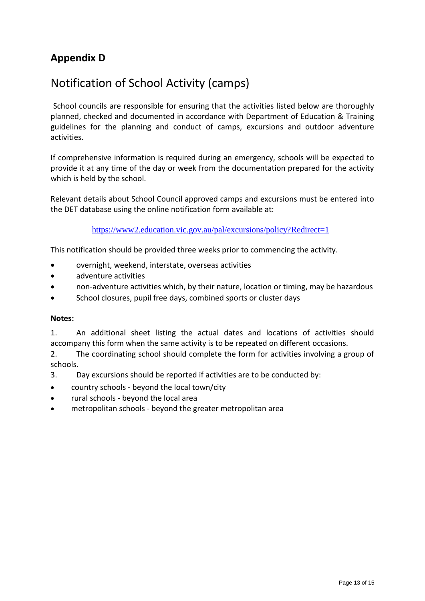## **Appendix D**

## Notification of School Activity (camps)

School councils are responsible for ensuring that the activities listed below are thoroughly planned, checked and documented in accordance with Department of Education & Training guidelines for the planning and conduct of camps, excursions and outdoor adventure activities.

If comprehensive information is required during an emergency, schools will be expected to provide it at any time of the day or week from the documentation prepared for the activity which is held by the school.

Relevant details about School Council approved camps and excursions must be entered into the DET database using the online notification form available at:

<https://www2.education.vic.gov.au/pal/excursions/policy?Redirect=1>

This notification should be provided three weeks prior to commencing the activity.

- overnight, weekend, interstate, overseas activities
- adventure activities
- non-adventure activities which, by their nature, location or timing, may be hazardous
- School closures, pupil free days, combined sports or cluster days

### **Notes:**

1. An additional sheet listing the actual dates and locations of activities should accompany this form when the same activity is to be repeated on different occasions.

2. The coordinating school should complete the form for activities involving a group of schools.

- 3. Day excursions should be reported if activities are to be conducted by:
- country schools beyond the local town/city
- rural schools beyond the local area
- metropolitan schools beyond the greater metropolitan area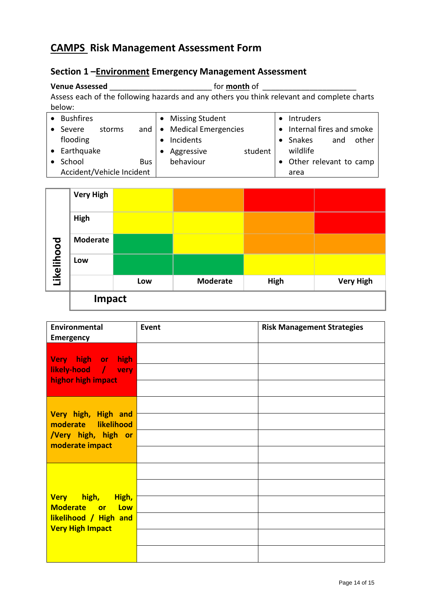## **CAMPS Risk Management Assessment Form**

## **Section 1 –Environment Emergency Management Assessment**

**Venue Assessed \_\_\_\_\_\_\_\_\_\_\_\_\_\_\_\_\_\_\_\_\_\_\_\_\_\_\_** for <u>month</u> of \_\_\_\_\_\_\_\_\_\_\_\_\_\_\_\_\_\_\_\_\_\_\_\_\_ Assess each of the following hazards and any others you think relevant and complete charts below:

| <b>Bushfires</b>          |     | • Missing Student     | <b>Intruders</b>           |
|---------------------------|-----|-----------------------|----------------------------|
| Severe<br>storms          | and | • Medical Emergencies | • Internal fires and smoke |
| flooding                  |     | Incidents             | and<br>Snakes<br>other     |
| • Earthquake              |     | Aggressive<br>student | wildlife                   |
| School                    | Bus | behaviour             | Other relevant to camp     |
| Accident/Vehicle Incident |     |                       | area                       |



| <b>Environmental</b><br><b>Emergency</b>                                                             | Event | <b>Risk Management Strategies</b> |
|------------------------------------------------------------------------------------------------------|-------|-----------------------------------|
| <b>Very</b><br>high or high<br>likely-hood / very<br>highor high impact                              |       |                                   |
| Very high, High and<br>moderate likelihood<br>/Very high, high<br>or<br>moderate impact              |       |                                   |
| Very high,<br>High,<br>Moderate or<br><b>Low</b><br>likelihood / High and<br><b>Very High Impact</b> |       |                                   |